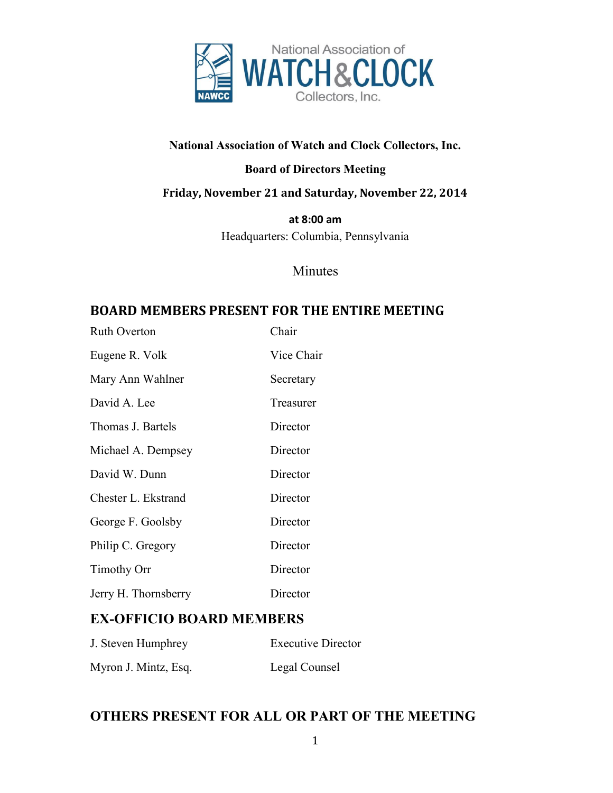

#### **National Association of Watch and Clock Collectors, Inc.**

#### **Board of Directors Meeting**

#### **Friday, November 21 and Saturday, November 22, 2014**

**at 8:00 am**

Headquarters: Columbia, Pennsylvania

#### Minutes

#### **BOARD MEMBERS PRESENT FOR THE ENTIRE MEETING**

| <b>Ruth Overton</b>  | Chair      |
|----------------------|------------|
| Eugene R. Volk       | Vice Chair |
| Mary Ann Wahlner     | Secretary  |
| David A. Lee         | Treasurer  |
| Thomas J. Bartels    | Director   |
| Michael A. Dempsey   | Director   |
| David W. Dunn        | Director   |
| Chester L. Ekstrand  | Director   |
| George F. Goolsby    | Director   |
| Philip C. Gregory    | Director   |
| <b>Timothy Orr</b>   | Director   |
| Jerry H. Thornsberry | Director   |

#### **EX-OFFICIO BOARD MEMBERS**

| J. Steven Humphrey   | <b>Executive Director</b> |
|----------------------|---------------------------|
| Myron J. Mintz, Esq. | Legal Counsel             |

#### **OTHERS PRESENT FOR ALL OR PART OF THE MEETING**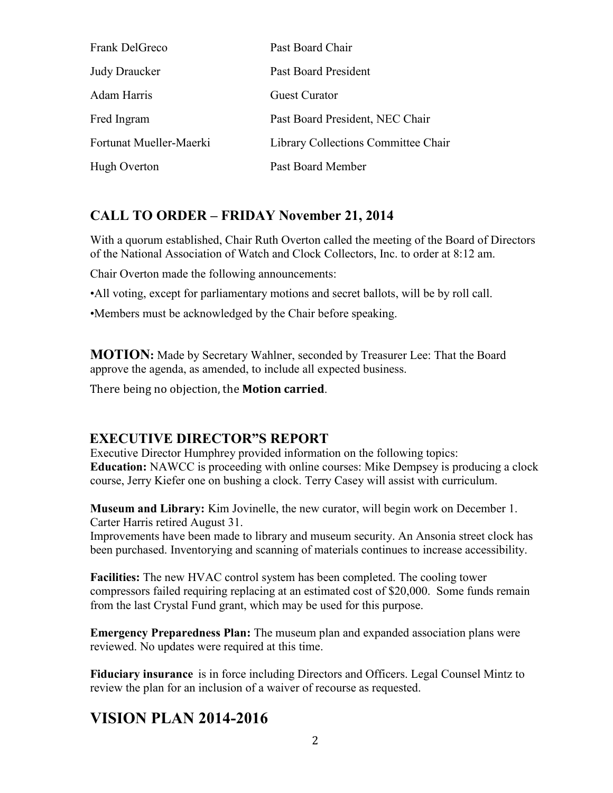| Frank DelGreco          | Past Board Chair                    |
|-------------------------|-------------------------------------|
| <b>Judy Draucker</b>    | Past Board President                |
| Adam Harris             | <b>Guest Curator</b>                |
| Fred Ingram             | Past Board President, NEC Chair     |
| Fortunat Mueller-Maerki | Library Collections Committee Chair |
| Hugh Overton            | Past Board Member                   |

#### Judy Drauck **CALL TO ORDER – FRIDAY November 21, 2014**

With a quorum established, Chair Ruth Overton called the meeting of the Board of Directors of the National Association of Watch and Clock Collectors, Inc. to order at 8:12 am.

Chair Overton made the following announcements:

•All voting, except for parliamentary motions and secret ballots, will be by roll call.

•Members must be acknowledged by the Chair before speaking.

**MOTION:** Made by Secretary Wahlner, seconded by Treasurer Lee: That the Board approve the agenda, as amended, to include all expected business.

There being no objection, the **Motion carried**.

#### **EXECUTIVE DIRECTOR"S REPORT**

Executive Director Humphrey provided information on the following topics: **Education:** NAWCC is proceeding with online courses: Mike Dempsey is producing a clock course, Jerry Kiefer one on bushing a clock. Terry Casey will assist with curriculum.

**Museum and Library:** Kim Jovinelle, the new curator, will begin work on December 1. Carter Harris retired August 31.

Improvements have been made to library and museum security. An Ansonia street clock has been purchased. Inventorying and scanning of materials continues to increase accessibility.

**Facilities:** The new HVAC control system has been completed. The cooling tower compressors failed requiring replacing at an estimated cost of \$20,000. Some funds remain from the last Crystal Fund grant, which may be used for this purpose.

**Emergency Preparedness Plan:** The museum plan and expanded association plans were reviewed. No updates were required at this time.

**Fiduciary insurance** is in force including Directors and Officers. Legal Counsel Mintz to review the plan for an inclusion of a waiver of recourse as requested.

### **VISION PLAN 2014-2016**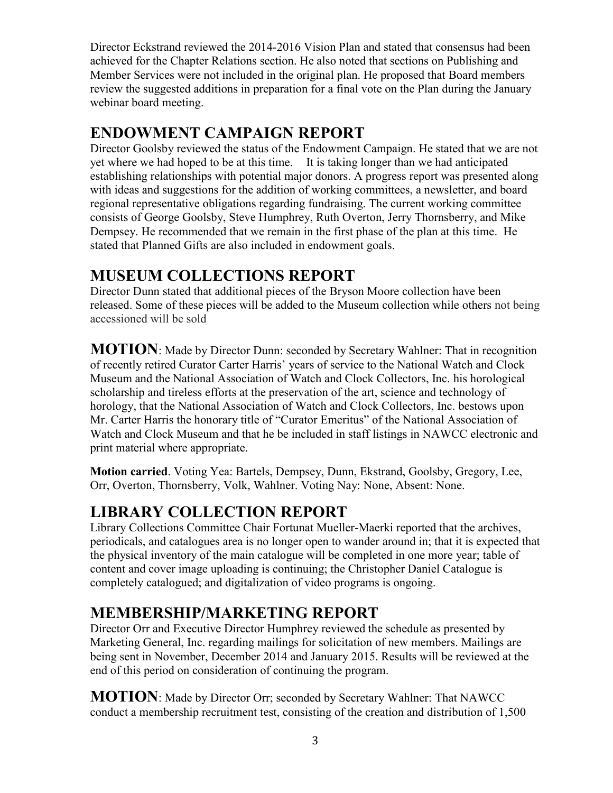Director Eckstrand reviewed the 2014-2016 Vision Plan and stated that consensus had been achieved for the Chapter Relations section. He also noted that sections on Publishing and Member Services were not included in the original plan. He proposed that Board members review the suggested additions in preparation for a final vote on the Plan during the January webinar board meeting.

### **ENDOWMENT CAMPAIGN REPORT**

Director Goolsby reviewed the status of the Endowment Campaign. He stated that we are not yet where we had hoped to be at this time. It is taking longer than we had anticipated establishing relationships with potential major donors. A progress report was presented along with ideas and suggestions for the addition of working committees, a newsletter, and board regional representative obligations regarding fundraising. The current working committee consists of George Goolsby, Steve Humphrey, Ruth Overton, Jerry Thornsberry, and Mike Dempsey. He recommended that we remain in the first phase of the plan at this time. He stated that Planned Gifts are also included in endowment goals.

### **MUSEUM COLLECTIONS REPORT**

Director Dunn stated that additional pieces of the Bryson Moore collection have been released. Some of these pieces will be added to the Museum collection while others not being accessioned will be sold

**MOTION**: Made by Director Dunn: seconded by Secretary Wahlner: That in recognition of recently retired Curator Carter Harris' years of service to the National Watch and Clock Museum and the National Association of Watch and Clock Collectors, Inc. his horological scholarship and tireless efforts at the preservation of the art, science and technology of horology, that the National Association of Watch and Clock Collectors, Inc. bestows upon Mr. Carter Harris the honorary title of "Curator Emeritus" of the National Association of Watch and Clock Museum and that he be included in staff listings in NAWCC electronic and print material where appropriate.

**Motion carried**. Voting Yea: Bartels, Dempsey, Dunn, Ekstrand, Goolsby, Gregory, Lee, Orr, Overton, Thornsberry, Volk, Wahlner. Voting Nay: None, Absent: None.

## **LIBRARY COLLECTION REPORT**

Library Collections Committee Chair Fortunat Mueller-Maerki reported that the archives, periodicals, and catalogues area is no longer open to wander around in; that it is expected that the physical inventory of the main catalogue will be completed in one more year; table of content and cover image uploading is continuing; the Christopher Daniel Catalogue is completely catalogued; and digitalization of video programs is ongoing.

## **MEMBERSHIP/MARKETING REPORT**

Director Orr and Executive Director Humphrey reviewed the schedule as presented by Marketing General, Inc. regarding mailings for solicitation of new members. Mailings are being sent in November, December 2014 and January 2015. Results will be reviewed at the end of this period on consideration of continuing the program.

**MOTION**: Made by Director Orr; seconded by Secretary Wahlner: That NAWCC conduct a membership recruitment test, consisting of the creation and distribution of 1,500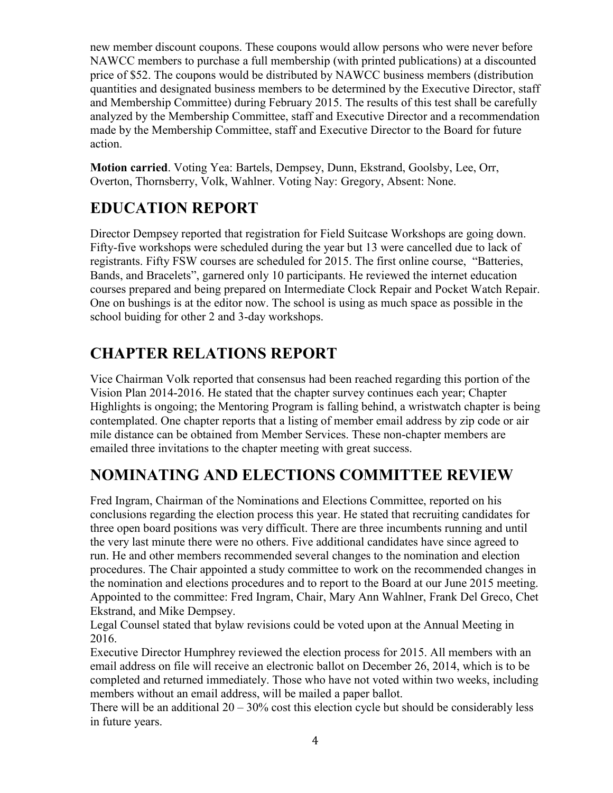new member discount coupons. These coupons would allow persons who were never before NAWCC members to purchase a full membership (with printed publications) at a discounted price of \$52. The coupons would be distributed by NAWCC business members (distribution quantities and designated business members to be determined by the Executive Director, staff and Membership Committee) during February 2015. The results of this test shall be carefully analyzed by the Membership Committee, staff and Executive Director and a recommendation made by the Membership Committee, staff and Executive Director to the Board for future action.

**Motion carried**. Voting Yea: Bartels, Dempsey, Dunn, Ekstrand, Goolsby, Lee, Orr, Overton, Thornsberry, Volk, Wahlner. Voting Nay: Gregory, Absent: None.

# **EDUCATION REPORT**

Director Dempsey reported that registration for Field Suitcase Workshops are going down. Fifty-five workshops were scheduled during the year but 13 were cancelled due to lack of registrants. Fifty FSW courses are scheduled for 2015. The first online course, "Batteries, Bands, and Bracelets", garnered only 10 participants. He reviewed the internet education courses prepared and being prepared on Intermediate Clock Repair and Pocket Watch Repair. One on bushings is at the editor now. The school is using as much space as possible in the school buiding for other 2 and 3-day workshops.

# **CHAPTER RELATIONS REPORT**

Vice Chairman Volk reported that consensus had been reached regarding this portion of the Vision Plan 2014-2016. He stated that the chapter survey continues each year; Chapter Highlights is ongoing; the Mentoring Program is falling behind, a wristwatch chapter is being contemplated. One chapter reports that a listing of member email address by zip code or air mile distance can be obtained from Member Services. These non-chapter members are emailed three invitations to the chapter meeting with great success.

# **NOMINATING AND ELECTIONS COMMITTEE REVIEW**

Fred Ingram, Chairman of the Nominations and Elections Committee, reported on his conclusions regarding the election process this year. He stated that recruiting candidates for three open board positions was very difficult. There are three incumbents running and until the very last minute there were no others. Five additional candidates have since agreed to run. He and other members recommended several changes to the nomination and election procedures. The Chair appointed a study committee to work on the recommended changes in the nomination and elections procedures and to report to the Board at our June 2015 meeting. Appointed to the committee: Fred Ingram, Chair, Mary Ann Wahlner, Frank Del Greco, Chet Ekstrand, and Mike Dempsey.

Legal Counsel stated that bylaw revisions could be voted upon at the Annual Meeting in 2016.

Executive Director Humphrey reviewed the election process for 2015. All members with an email address on file will receive an electronic ballot on December 26, 2014, which is to be completed and returned immediately. Those who have not voted within two weeks, including members without an email address, will be mailed a paper ballot.

There will be an additional  $20 - 30\%$  cost this election cycle but should be considerably less in future years.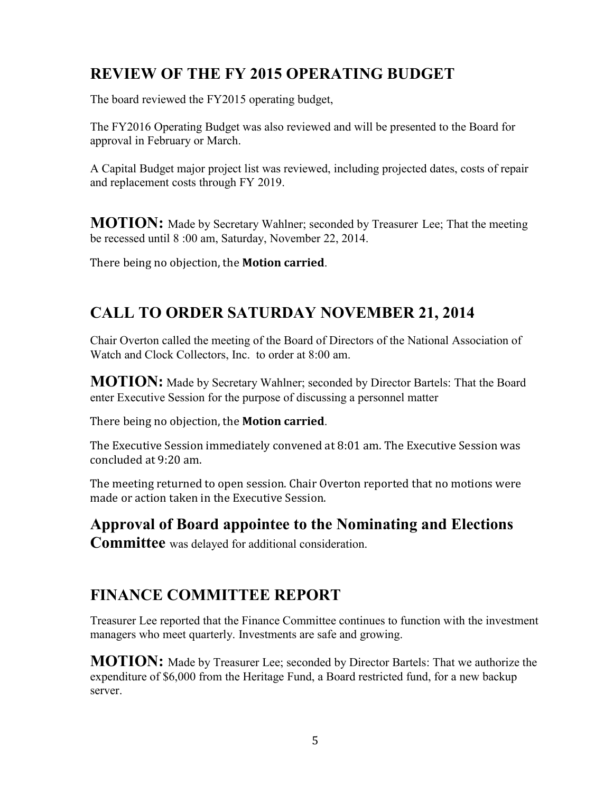# **REVIEW OF THE FY 2015 OPERATING BUDGET**

The board reviewed the FY2015 operating budget,

The FY2016 Operating Budget was also reviewed and will be presented to the Board for approval in February or March.

A Capital Budget major project list was reviewed, including projected dates, costs of repair and replacement costs through FY 2019.

**MOTION:** Made by Secretary Wahlner; seconded by Treasurer Lee; That the meeting be recessed until 8 :00 am, Saturday, November 22, 2014.

There being no objection, the **Motion carried**.

# **CALL TO ORDER SATURDAY NOVEMBER 21, 2014**

Chair Overton called the meeting of the Board of Directors of the National Association of Watch and Clock Collectors, Inc. to order at 8:00 am.

**MOTION:** Made by Secretary Wahlner; seconded by Director Bartels: That the Board enter Executive Session for the purpose of discussing a personnel matter

There being no objection, the **Motion carried**.

The Executive Session immediately convened at 8:01 am. The Executive Session was concluded at 9:20 am.

The meeting returned to open session. Chair Overton reported that no motions were made or action taken in the Executive Session.

**Approval of Board appointee to the Nominating and Elections** 

**Committee** was delayed for additional consideration.

### **FINANCE COMMITTEE REPORT**

Treasurer Lee reported that the Finance Committee continues to function with the investment managers who meet quarterly. Investments are safe and growing.

**MOTION:** Made by Treasurer Lee; seconded by Director Bartels: That we authorize the expenditure of \$6,000 from the Heritage Fund, a Board restricted fund, for a new backup server.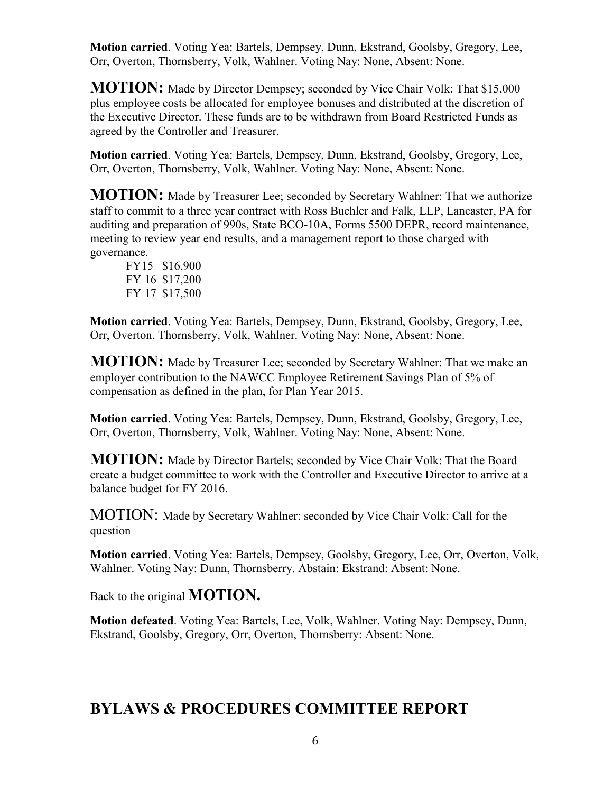**Motion carried**. Voting Yea: Bartels, Dempsey, Dunn, Ekstrand, Goolsby, Gregory, Lee, Orr, Overton, Thornsberry, Volk, Wahlner. Voting Nay: None, Absent: None.

**MOTION:** Made by Director Dempsey; seconded by Vice Chair Volk: That \$15,000 plus employee costs be allocated for employee bonuses and distributed at the discretion of the Executive Director. These funds are to be withdrawn from Board Restricted Funds as agreed by the Controller and Treasurer.

**Motion carried**. Voting Yea: Bartels, Dempsey, Dunn, Ekstrand, Goolsby, Gregory, Lee, Orr, Overton, Thornsberry, Volk, Wahlner. Voting Nay: None, Absent: None.

**MOTION:** Made by Treasurer Lee; seconded by Secretary Wahlner: That we authorize staff to commit to a three year contract with Ross Buehler and Falk, LLP, Lancaster, PA for auditing and preparation of 990s, State BCO-10A, Forms 5500 DEPR, record maintenance, meeting to review year end results, and a management report to those charged with governance.

FY15 \$16,900 FY 16 \$17,200 FY 17 \$17,500

**Motion carried**. Voting Yea: Bartels, Dempsey, Dunn, Ekstrand, Goolsby, Gregory, Lee, Orr, Overton, Thornsberry, Volk, Wahlner. Voting Nay: None, Absent: None.

**MOTION:** Made by Treasurer Lee; seconded by Secretary Wahlner: That we make an employer contribution to the NAWCC Employee Retirement Savings Plan of 5% of compensation as defined in the plan, for Plan Year 2015.

**Motion carried**. Voting Yea: Bartels, Dempsey, Dunn, Ekstrand, Goolsby, Gregory, Lee, Orr, Overton, Thornsberry, Volk, Wahlner. Voting Nay: None, Absent: None.

**MOTION:** Made by Director Bartels; seconded by Vice Chair Volk: That the Board create a budget committee to work with the Controller and Executive Director to arrive at a balance budget for FY 2016.

MOTION: Made by Secretary Wahlner: seconded by Vice Chair Volk: Call for the question

**Motion carried**. Voting Yea: Bartels, Dempsey, Goolsby, Gregory, Lee, Orr, Overton, Volk, Wahlner. Voting Nay: Dunn, Thornsberry. Abstain: Ekstrand: Absent: None.

Back to the original **MOTION.**

**Motion defeated**. Voting Yea: Bartels, Lee, Volk, Wahlner. Voting Nay: Dempsey, Dunn, Ekstrand, Goolsby, Gregory, Orr, Overton, Thornsberry: Absent: None.

### **BYLAWS & PROCEDURES COMMITTEE REPORT**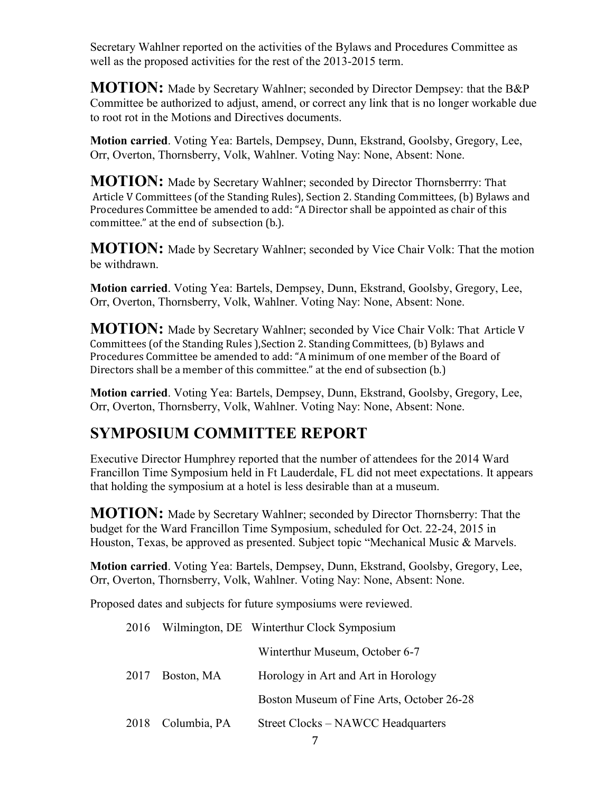Secretary Wahlner reported on the activities of the Bylaws and Procedures Committee as well as the proposed activities for the rest of the 2013-2015 term.

**MOTION:** Made by Secretary Wahlner; seconded by Director Dempsey: that the B&P Committee be authorized to adjust, amend, or correct any link that is no longer workable due to root rot in the Motions and Directives documents.

**Motion carried**. Voting Yea: Bartels, Dempsey, Dunn, Ekstrand, Goolsby, Gregory, Lee, Orr, Overton, Thornsberry, Volk, Wahlner. Voting Nay: None, Absent: None.

**MOTION:** Made by Secretary Wahlner; seconded by Director Thornsberrry: That Article V Committees (of the Standing Rules), Section 2. Standing Committees, (b) Bylaws and Procedures Committee be amended to add: "A Director shall be appointed as chair of this committee." at the end of subsection (b.).

**MOTION:** Made by Secretary Wahlner; seconded by Vice Chair Volk: That the motion be withdrawn.

**Motion carried**. Voting Yea: Bartels, Dempsey, Dunn, Ekstrand, Goolsby, Gregory, Lee, Orr, Overton, Thornsberry, Volk, Wahlner. Voting Nay: None, Absent: None.

**MOTION:** Made by Secretary Wahlner; seconded by Vice Chair Volk: That Article V Committees (of the Standing Rules ),Section 2. Standing Committees, (b) Bylaws and Procedures Committee be amended to add: "A minimum of one member of the Board of Directors shall be a member of this committee." at the end of subsection (b.)

**Motion carried**. Voting Yea: Bartels, Dempsey, Dunn, Ekstrand, Goolsby, Gregory, Lee, Orr, Overton, Thornsberry, Volk, Wahlner. Voting Nay: None, Absent: None.

## **SYMPOSIUM COMMITTEE REPORT**

Executive Director Humphrey reported that the number of attendees for the 2014 Ward Francillon Time Symposium held in Ft Lauderdale, FL did not meet expectations. It appears that holding the symposium at a hotel is less desirable than at a museum.

**MOTION:** Made by Secretary Wahlner; seconded by Director Thornsberry: That the budget for the Ward Francillon Time Symposium, scheduled for Oct. 22-24, 2015 in Houston, Texas, be approved as presented. Subject topic "Mechanical Music & Marvels.

**Motion carried**. Voting Yea: Bartels, Dempsey, Dunn, Ekstrand, Goolsby, Gregory, Lee, Orr, Overton, Thornsberry, Volk, Wahlner. Voting Nay: None, Absent: None.

Proposed dates and subjects for future symposiums were reviewed.

|  |                   | 2016 Wilmington, DE Winterthur Clock Symposium |
|--|-------------------|------------------------------------------------|
|  |                   | Winterthur Museum, October 6-7                 |
|  | 2017 Boston, MA   | Horology in Art and Art in Horology            |
|  |                   | Boston Museum of Fine Arts, October 26-28      |
|  | 2018 Columbia, PA | Street Clocks – NAWCC Headquarters             |
|  |                   |                                                |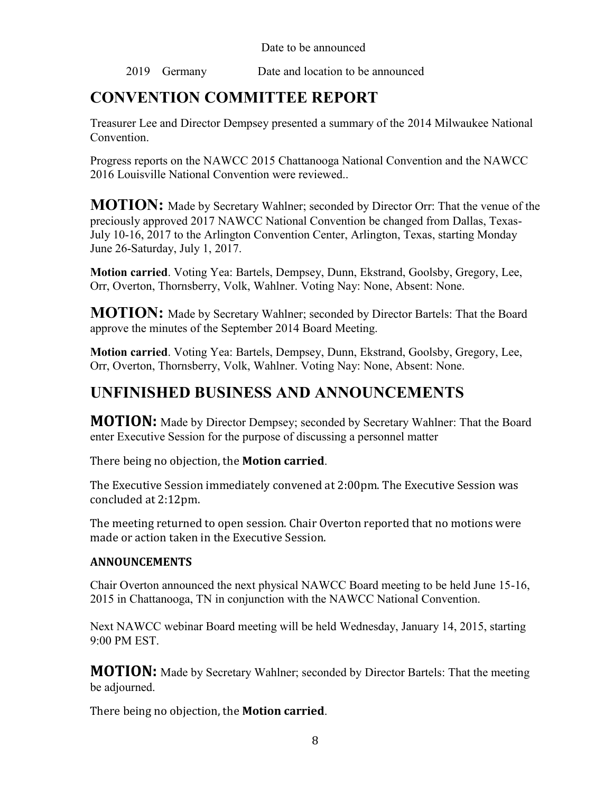Date to be announced

2019 Germany Date and location to be announced

# **CONVENTION COMMITTEE REPORT**

Treasurer Lee and Director Dempsey presented a summary of the 2014 Milwaukee National Convention.

Progress reports on the NAWCC 2015 Chattanooga National Convention and the NAWCC 2016 Louisville National Convention were reviewed..

**MOTION:** Made by Secretary Wahlner; seconded by Director Orr: That the venue of the preciously approved 2017 NAWCC National Convention be changed from Dallas, Texas-July 10-16, 2017 to the Arlington Convention Center, Arlington, Texas, starting Monday June 26-Saturday, July 1, 2017.

**Motion carried**. Voting Yea: Bartels, Dempsey, Dunn, Ekstrand, Goolsby, Gregory, Lee, Orr, Overton, Thornsberry, Volk, Wahlner. Voting Nay: None, Absent: None.

**MOTION:** Made by Secretary Wahlner; seconded by Director Bartels: That the Board approve the minutes of the September 2014 Board Meeting.

**Motion carried**. Voting Yea: Bartels, Dempsey, Dunn, Ekstrand, Goolsby, Gregory, Lee, Orr, Overton, Thornsberry, Volk, Wahlner. Voting Nay: None, Absent: None.

# **UNFINISHED BUSINESS AND ANNOUNCEMENTS**

**MOTION:** Made by Director Dempsey; seconded by Secretary Wahlner: That the Board enter Executive Session for the purpose of discussing a personnel matter

There being no objection, the **Motion carried**.

The Executive Session immediately convened at 2:00pm. The Executive Session was concluded at 2:12pm.

The meeting returned to open session. Chair Overton reported that no motions were made or action taken in the Executive Session.

#### **ANNOUNCEMENTS**

Chair Overton announced the next physical NAWCC Board meeting to be held June 15-16, 2015 in Chattanooga, TN in conjunction with the NAWCC National Convention.

Next NAWCC webinar Board meeting will be held Wednesday, January 14, 2015, starting 9:00 PM EST.

**MOTION:** Made by Secretary Wahlner; seconded by Director Bartels: That the meeting be adjourned.

There being no objection, the **Motion carried**.